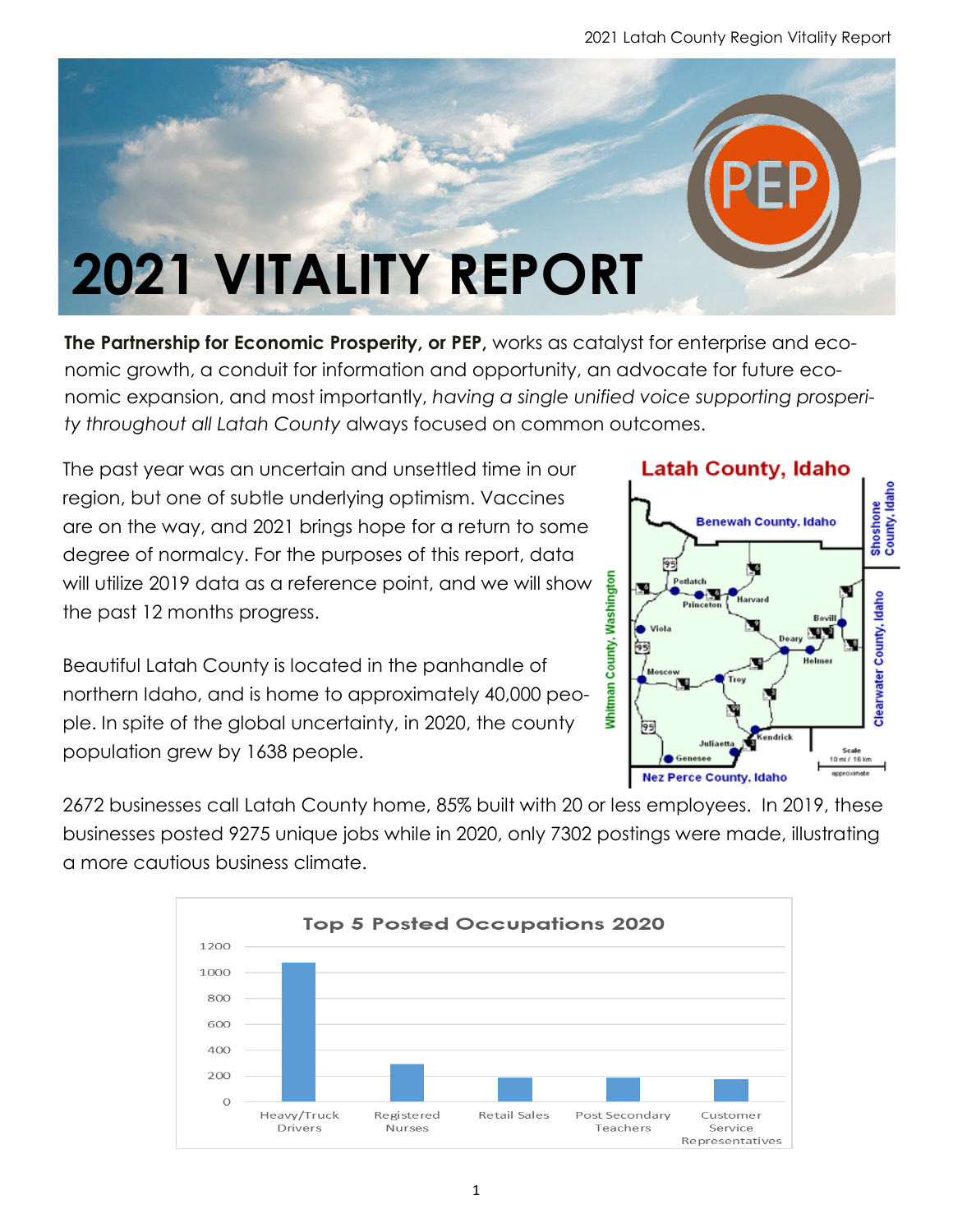

**The Partnership for Economic Prosperity, or PEP,** works as catalyst for enterprise and economic growth, a conduit for information and opportunity, an advocate for future economic expansion, and most importantly, *having a single unified voice supporting prosperity throughout all Latah County* always focused on common outcomes.

The past year was an uncertain and unsettled time in our region, but one of subtle underlying optimism. Vaccines are on the way, and 2021 brings hope for a return to some degree of normalcy. For the purposes of this report, data will utilize 2019 data as a reference point, and we will show the past 12 months progress.

Beautiful Latah County is located in the panhandle of northern Idaho, and is home to approximately 40,000 people. In spite of the global uncertainty, in 2020, the county population grew by 1638 people.





2672 businesses call Latah County home, 85% built with 20 or less employees. In 2019, these businesses posted 9275 unique jobs while in 2020, only 7302 postings were made, illustrating a more cautious business climate.

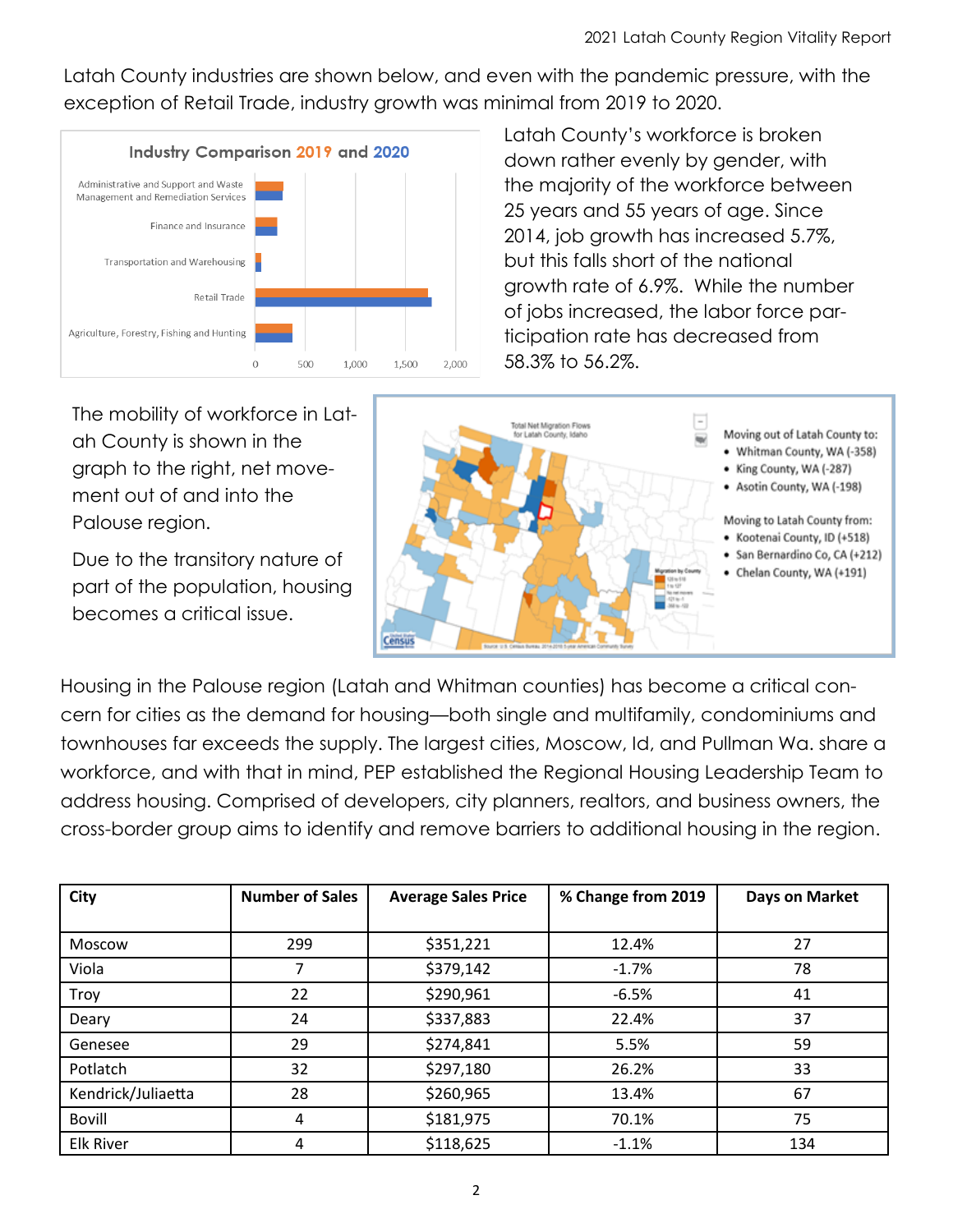Latah County industries are shown below, and even with the pandemic pressure, with the exception of Retail Trade, industry growth was minimal from 2019 to 2020.



Latah County's workforce is broken down rather evenly by gender, with the majority of the workforce between 25 years and 55 years of age. Since 2014, job growth has increased 5.7%, but this falls short of the national growth rate of 6.9%. While the number of jobs increased, the labor force participation rate has decreased from 58.3% to 56.2%.

The mobility of workforce in Latah County is shown in the graph to the right, net movement out of and into the Palouse region.

Due to the transitory nature of part of the population, housing becomes a critical issue.



Housing in the Palouse region (Latah and Whitman counties) has become a critical concern for cities as the demand for housing—both single and multifamily, condominiums and townhouses far exceeds the supply. The largest cities, Moscow, Id, and Pullman Wa. share a workforce, and with that in mind, PEP established the Regional Housing Leadership Team to address housing. Comprised of developers, city planners, realtors, and business owners, the cross-border group aims to identify and remove barriers to additional housing in the region.

| City               | <b>Number of Sales</b> | <b>Average Sales Price</b> | % Change from 2019 | Days on Market |
|--------------------|------------------------|----------------------------|--------------------|----------------|
|                    |                        |                            |                    |                |
| <b>Moscow</b>      | 299                    | \$351,221                  | 12.4%              | 27             |
| Viola              |                        | \$379,142                  | $-1.7%$            | 78             |
| <b>Troy</b>        | 22                     | \$290,961                  | $-6.5%$            | 41             |
| Deary              | 24                     | \$337,883                  | 22.4%              | 37             |
| Genesee            | 29                     | \$274,841                  | 5.5%               | 59             |
| Potlatch           | 32                     | \$297,180                  | 26.2%              | 33             |
| Kendrick/Juliaetta | 28                     | \$260,965                  | 13.4%              | 67             |
| Bovill             | 4                      | \$181,975                  | 70.1%              | 75             |
| <b>Elk River</b>   | 4                      | \$118,625                  | $-1.1%$            | 134            |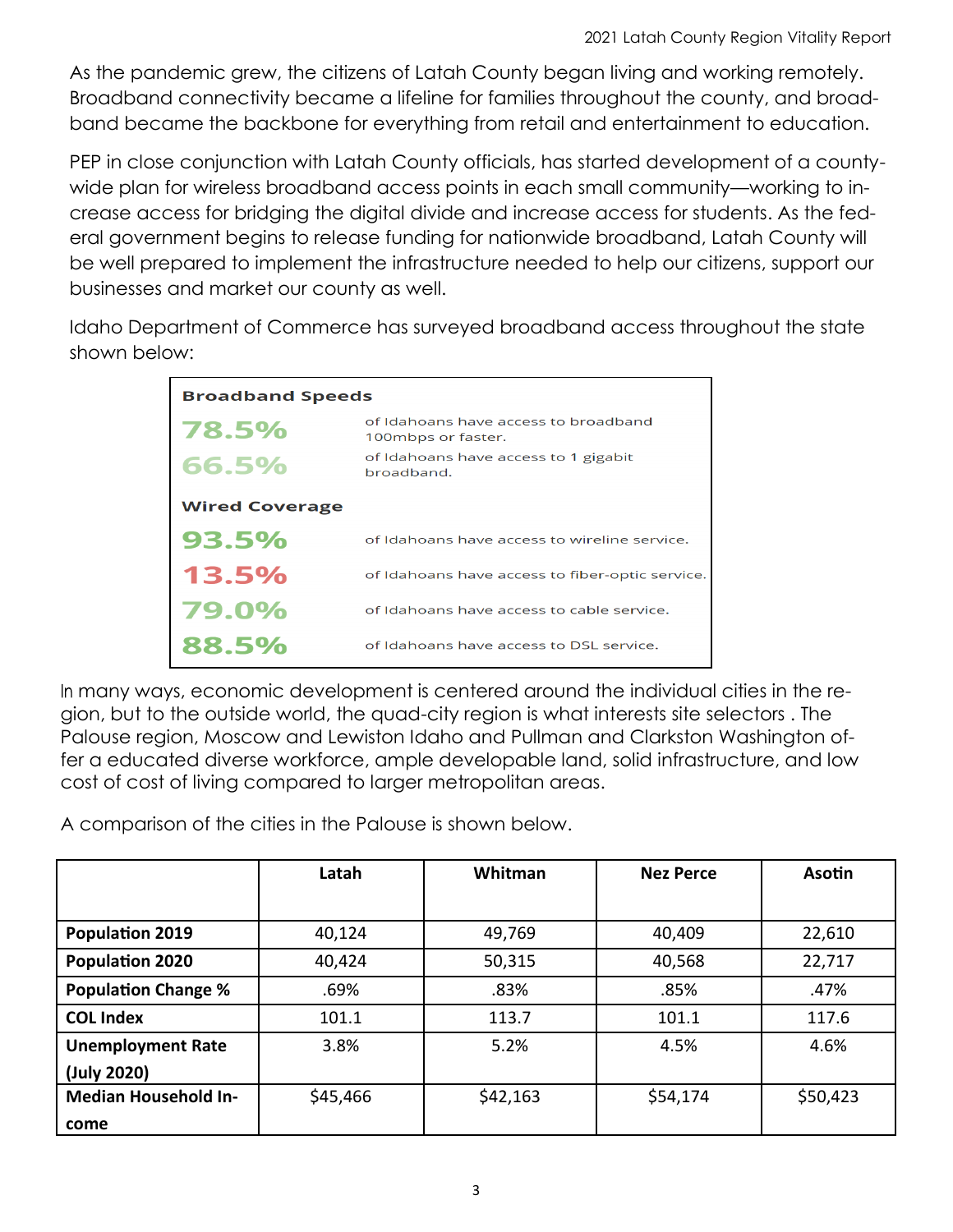As the pandemic grew, the citizens of Latah County began living and working remotely. Broadband connectivity became a lifeline for families throughout the county, and broadband became the backbone for everything from retail and entertainment to education.

PEP in close conjunction with Latah County officials, has started development of a countywide plan for wireless broadband access points in each small community—working to increase access for bridging the digital divide and increase access for students. As the federal government begins to release funding for nationwide broadband, Latah County will be well prepared to implement the infrastructure needed to help our citizens, support our businesses and market our county as well.

Idaho Department of Commerce has surveyed broadband access throughout the state shown below:

| <b>Broadband Speeds</b> |                                                            |  |  |  |  |
|-------------------------|------------------------------------------------------------|--|--|--|--|
| 78.5%                   | of Idahoans have access to broadband<br>100mbps or faster. |  |  |  |  |
| 66.5%                   | of Idahoans have access to 1 gigabit<br>broadband.         |  |  |  |  |
| <b>Wired Coverage</b>   |                                                            |  |  |  |  |
| 93.5%                   | of Idahoans have access to wireline service.               |  |  |  |  |
| 13.5%                   | of Idahoans have access to fiber-optic service.            |  |  |  |  |
| 79.0%                   | of Idahoans have access to cable service.                  |  |  |  |  |
| 88.5%                   | of Idahoans have access to DSL service.                    |  |  |  |  |

many ways, economic development is centered around the individual cities in the region, but to the outside world, the quad-city region is what interests site selectors . The Palouse region, Moscow and Lewiston Idaho and Pullman and Clarkston Washington offer a educated diverse workforce, ample developable land, solid infrastructure, and low cost of cost of living compared to larger metropolitan areas.

A comparison of the cities in the Palouse is shown below.

|                             | Latah    | Whitman  | <b>Nez Perce</b> | <b>Asotin</b> |
|-----------------------------|----------|----------|------------------|---------------|
|                             |          |          |                  |               |
| <b>Population 2019</b>      | 40,124   | 49,769   | 40,409           | 22,610        |
| <b>Population 2020</b>      | 40,424   | 50,315   | 40,568           | 22,717        |
| <b>Population Change %</b>  | .69%     | .83%     | .85%             | .47%          |
| <b>COL Index</b>            | 101.1    | 113.7    | 101.1            | 117.6         |
| <b>Unemployment Rate</b>    | 3.8%     | 5.2%     | 4.5%             | 4.6%          |
| (July 2020)                 |          |          |                  |               |
| <b>Median Household In-</b> | \$45,466 | \$42,163 | \$54,174         | \$50,423      |
| come                        |          |          |                  |               |